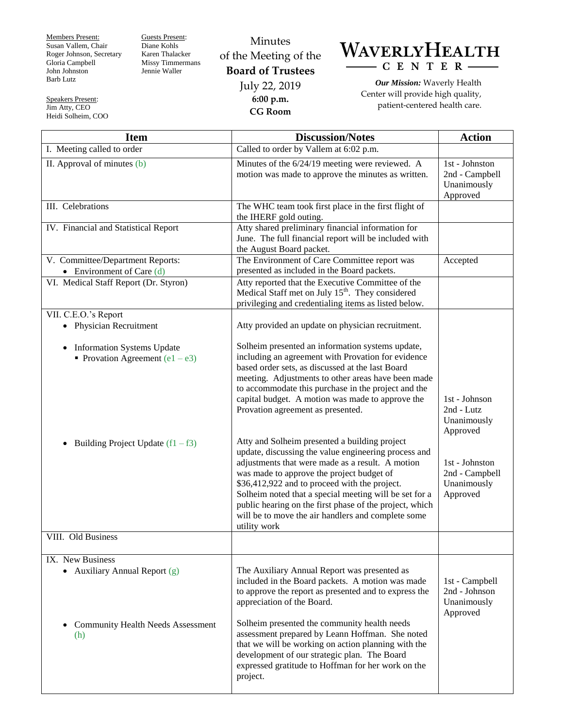Members Present: Susan Vallem, Chair Roger Johnson, Secretary Gloria Campbell John Johnston Barb Lutz

Speakers Present: Jim Atty, CEO Heidi Solheim, COO Guests Present: Diane Kohls Karen Thalacker Missy Timmermans Jennie Waller

## Minutes of the Meeting of the **Board of Trustees** July 22, 2019 **6:00 p.m. CG Room**



*Our Mission:* Waverly Health Center will provide high quality, patient-centered health care.

| <b>Item</b>                                                                         | <b>Discussion/Notes</b>                                                                                                                                                                                                                                                                                                                                                                                                                            | <b>Action</b>                                               |
|-------------------------------------------------------------------------------------|----------------------------------------------------------------------------------------------------------------------------------------------------------------------------------------------------------------------------------------------------------------------------------------------------------------------------------------------------------------------------------------------------------------------------------------------------|-------------------------------------------------------------|
| I. Meeting called to order                                                          | Called to order by Vallem at 6:02 p.m.                                                                                                                                                                                                                                                                                                                                                                                                             |                                                             |
| II. Approval of minutes (b)                                                         | Minutes of the 6/24/19 meeting were reviewed. A<br>motion was made to approve the minutes as written.                                                                                                                                                                                                                                                                                                                                              | 1st - Johnston<br>2nd - Campbell<br>Unanimously<br>Approved |
| III. Celebrations                                                                   | The WHC team took first place in the first flight of<br>the IHERF gold outing.                                                                                                                                                                                                                                                                                                                                                                     |                                                             |
| IV. Financial and Statistical Report                                                | Atty shared preliminary financial information for<br>June. The full financial report will be included with<br>the August Board packet.                                                                                                                                                                                                                                                                                                             |                                                             |
| V. Committee/Department Reports:<br>• Environment of Care $(d)$                     | The Environment of Care Committee report was<br>presented as included in the Board packets.                                                                                                                                                                                                                                                                                                                                                        | Accepted                                                    |
| VI. Medical Staff Report (Dr. Styron)                                               | Atty reported that the Executive Committee of the<br>Medical Staff met on July 15 <sup>th</sup> . They considered<br>privileging and credentialing items as listed below.                                                                                                                                                                                                                                                                          |                                                             |
| VII. C.E.O.'s Report                                                                |                                                                                                                                                                                                                                                                                                                                                                                                                                                    |                                                             |
| • Physician Recruitment                                                             | Atty provided an update on physician recruitment.                                                                                                                                                                                                                                                                                                                                                                                                  |                                                             |
| <b>Information Systems Update</b><br>$\bullet$<br>• Provation Agreement $(e1 - e3)$ | Solheim presented an information systems update,<br>including an agreement with Provation for evidence<br>based order sets, as discussed at the last Board<br>meeting. Adjustments to other areas have been made<br>to accommodate this purchase in the project and the<br>capital budget. A motion was made to approve the<br>Provation agreement as presented.                                                                                   | 1st - Johnson<br>2nd - Lutz<br>Unanimously<br>Approved      |
| Building Project Update $(f1 - f3)$                                                 | Atty and Solheim presented a building project<br>update, discussing the value engineering process and<br>adjustments that were made as a result. A motion<br>was made to approve the project budget of<br>\$36,412,922 and to proceed with the project.<br>Solheim noted that a special meeting will be set for a<br>public hearing on the first phase of the project, which<br>will be to move the air handlers and complete some<br>utility work | 1st - Johnston<br>2nd - Campbell<br>Unanimously<br>Approved |
| VIII. Old Business                                                                  |                                                                                                                                                                                                                                                                                                                                                                                                                                                    |                                                             |
| IX. New Business                                                                    |                                                                                                                                                                                                                                                                                                                                                                                                                                                    |                                                             |
| • Auxiliary Annual Report $(g)$                                                     | The Auxiliary Annual Report was presented as<br>included in the Board packets. A motion was made<br>to approve the report as presented and to express the<br>appreciation of the Board.                                                                                                                                                                                                                                                            | 1st - Campbell<br>2nd - Johnson<br>Unanimously<br>Approved  |
| <b>Community Health Needs Assessment</b><br>$\bullet$<br>(h)                        | Solheim presented the community health needs<br>assessment prepared by Leann Hoffman. She noted<br>that we will be working on action planning with the<br>development of our strategic plan. The Board<br>expressed gratitude to Hoffman for her work on the<br>project.                                                                                                                                                                           |                                                             |